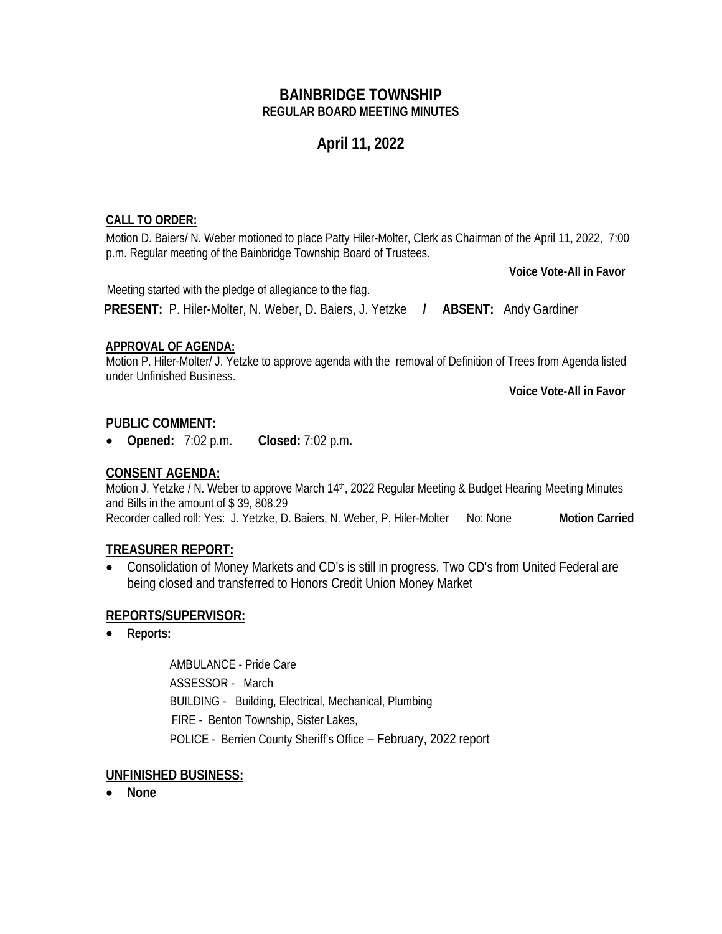## **BAINBRIDGE TOWNSHIP REGULAR BOARD MEETING MINUTES**

# **April 11, 2022**

#### **CALL TO ORDER:**

Motion D. Baiers/ N. Weber motioned to place Patty Hiler-Molter, Clerk as Chairman of the April 11, 2022, 7:00 p.m. Regular meeting of the Bainbridge Township Board of Trustees.

**Voice Vote-All in Favor**

 Meeting started with the pledge of allegiance to the flag. **PRESENT:** P. Hiler-Molter, N. Weber, D. Baiers, J. Yetzke **/ ABSENT:** Andy Gardiner

#### **APPROVAL OF AGENDA:**

Motion P. Hiler-Molter/ J. Yetzke to approve agenda with the removal of Definition of Trees from Agenda listed under Unfinished Business.

**Voice Vote-All in Favor**

## **PUBLIC COMMENT:**

• **Opened:** 7:02 p.m. **Closed:** 7:02 p.m**.**

## **CONSENT AGENDA:**

Motion J. Yetzke / N. Weber to approve March 14<sup>th</sup>, 2022 Regular Meeting & Budget Hearing Meeting Minutes and Bills in the amount of \$ 39, 808.29

Recorder called roll: Yes: J. Yetzke, D. Baiers, N. Weber, P. Hiler-Molter No: None **Motion Carried** 

## **TREASURER REPORT:**

• Consolidation of Money Markets and CD's is still in progress. Two CD's from United Federal are being closed and transferred to Honors Credit Union Money Market

## **REPORTS/SUPERVISOR:**

• **Reports:** 

AMBULANCE - Pride Care ASSESSOR - March BUILDING - Building, Electrical, Mechanical, Plumbing FIRE - Benton Township, Sister Lakes, POLICE - Berrien County Sheriff's Office – February, 2022 report

## **UNFINISHED BUSINESS:**

• **None**